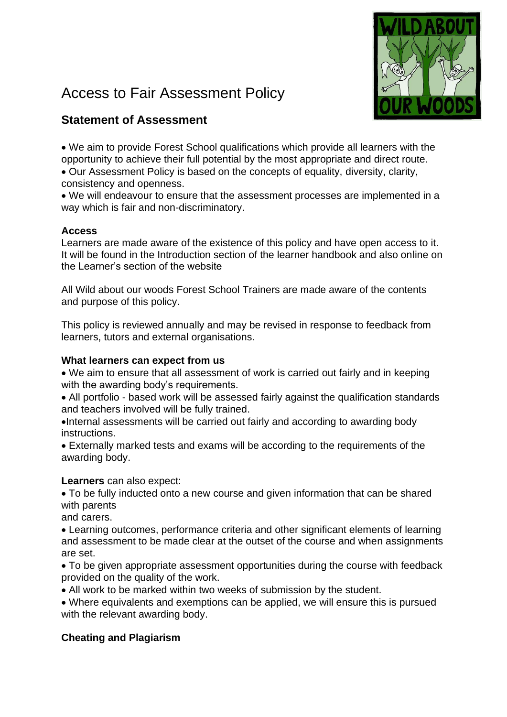

# Access to Fair Assessment Policy

# **Statement of Assessment**

• We aim to provide Forest School qualifications which provide all learners with the opportunity to achieve their full potential by the most appropriate and direct route.

• Our Assessment Policy is based on the concepts of equality, diversity, clarity, consistency and openness.

• We will endeavour to ensure that the assessment processes are implemented in a way which is fair and non-discriminatory.

## **Access**

Learners are made aware of the existence of this policy and have open access to it. It will be found in the Introduction section of the learner handbook and also online on the Learner's section of the website

All Wild about our woods Forest School Trainers are made aware of the contents and purpose of this policy.

This policy is reviewed annually and may be revised in response to feedback from learners, tutors and external organisations.

#### **What learners can expect from us**

• We aim to ensure that all assessment of work is carried out fairly and in keeping with the awarding body's requirements.

• All portfolio - based work will be assessed fairly against the qualification standards and teachers involved will be fully trained.

•Internal assessments will be carried out fairly and according to awarding body instructions.

• Externally marked tests and exams will be according to the requirements of the awarding body.

#### **Learners** can also expect:

• To be fully inducted onto a new course and given information that can be shared with parents

and carers.

• Learning outcomes, performance criteria and other significant elements of learning and assessment to be made clear at the outset of the course and when assignments are set.

• To be given appropriate assessment opportunities during the course with feedback provided on the quality of the work.

• All work to be marked within two weeks of submission by the student.

• Where equivalents and exemptions can be applied, we will ensure this is pursued with the relevant awarding body.

## **Cheating and Plagiarism**